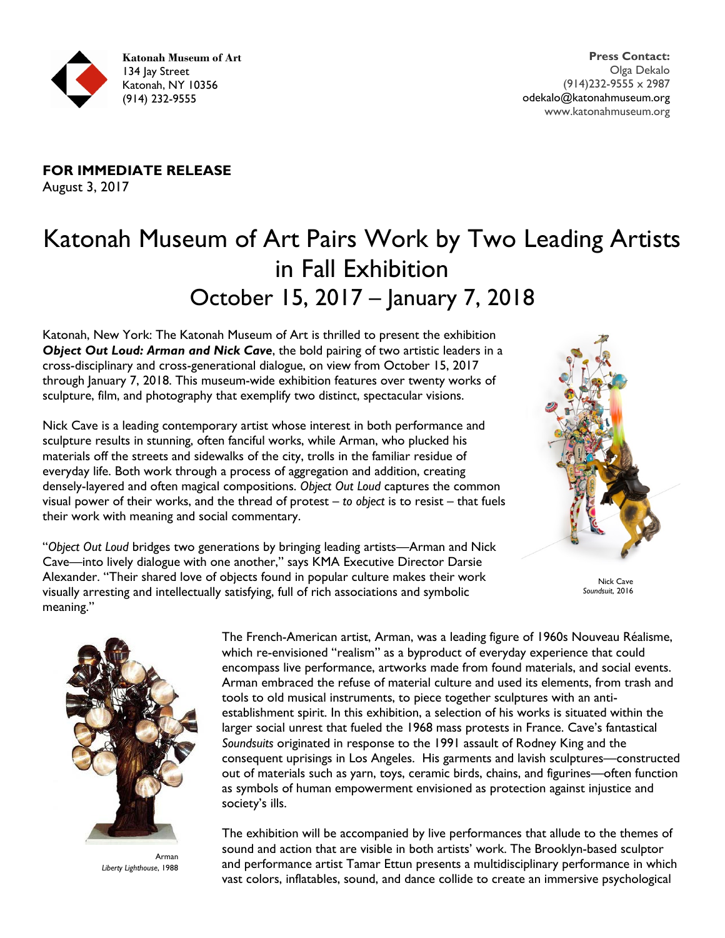

**FOR IMMEDIATE RELEASE** August 3, 2017

# Katonah Museum of Art Pairs Work by Two Leading Artists in Fall Exhibition October 15, 2017 – January 7, 2018

Katonah, New York: The Katonah Museum of Art is thrilled to present the exhibition *Object Out Loud: Arman and Nick Cave*, the bold pairing of two artistic leaders in a cross-disciplinary and cross-generational dialogue, on view from October 15, 2017 through January 7, 2018. This museum-wide exhibition features over twenty works of sculpture, film, and photography that exemplify two distinct, spectacular visions.

Nick Cave is a leading contemporary artist whose interest in both performance and sculpture results in stunning, often fanciful works, while Arman, who plucked his materials off the streets and sidewalks of the city, trolls in the familiar residue of everyday life. Both work through a process of aggregation and addition, creating densely-layered and often magical compositions. *Object Out Loud* captures the common visual power of their works, and the thread of protest – *to object* is to resist – that fuels their work with meaning and social commentary.



"*Object Out Loud* bridges two generations by bringing leading artists—Arman and Nick Cave—into lively dialogue with one another," says KMA Executive Director Darsie Alexander. "Their shared love of objects found in popular culture makes their work visually arresting and intellectually satisfying, full of rich associations and symbolic meaning."

Nick Cave *Soundsuit*, 2016



Arman *Liberty Lighthouse*, 1988

The French-American artist, Arman, was a leading figure of 1960s Nouveau Réalisme, which re-envisioned "realism" as a byproduct of everyday experience that could encompass live performance, artworks made from found materials, and social events. Arman embraced the refuse of material culture and used its elements, from trash and tools to old musical instruments, to piece together sculptures with an antiestablishment spirit. In this exhibition, a selection of his works is situated within the larger social unrest that fueled the 1968 mass protests in France. Cave's fantastical *Soundsuits* originated in response to the 1991 assault of Rodney King and the consequent uprisings in Los Angeles. His garments and lavish sculptures—constructed out of materials such as yarn, toys, ceramic birds, chains, and figurines—often function as symbols of human empowerment envisioned as protection against injustice and society's ills.

The exhibition will be accompanied by live performances that allude to the themes of sound and action that are visible in both artists' work. The Brooklyn-based sculptor and performance artist Tamar Ettun presents a multidisciplinary performance in which vast colors, inflatables, sound, and dance collide to create an immersive psychological